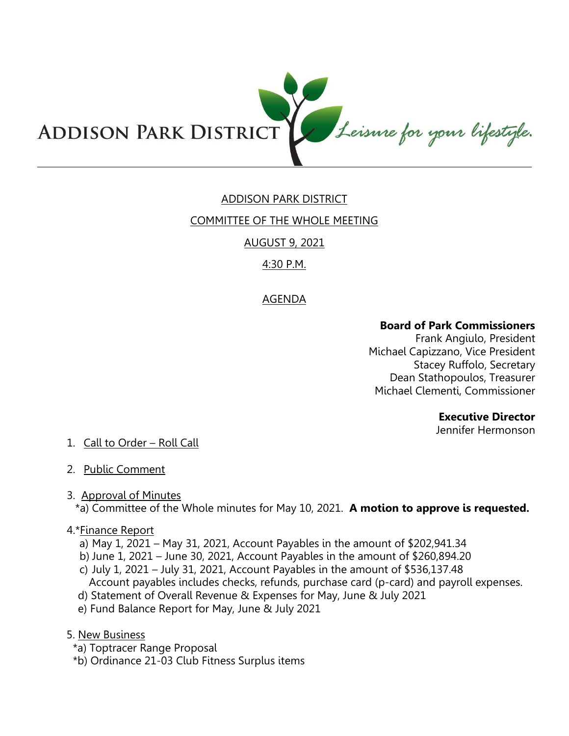

# ADDISON PARK DISTRICT

#### COMMITTEE OF THE WHOLE MEETING

## AUGUST 9, 2021

## 4:30 P.M.

## AGENDA

## **Board of Park Commissioners**

Frank Angiulo, President Michael Capizzano, Vice President Stacey Ruffolo, Secretary Dean Stathopoulos, Treasurer Michael Clementi, Commissioner

#### **Executive Director**

Jennifer Hermonson

## 1. Call to Order – Roll Call

2. Public Comment

## 3. Approval of Minutes

\*a) Committee of the Whole minutes for May 10, 2021. **A motion to approve is requested.** 

#### 4.\*Finance Report

- a) May 1, 2021 May 31, 2021, Account Payables in the amount of \$202,941.34
- b) June 1, 2021 June 30, 2021, Account Payables in the amount of \$260,894.20
- c) July 1, 2021 July 31, 2021, Account Payables in the amount of \$536,137.48 Account payables includes checks, refunds, purchase card (p-card) and payroll expenses.
- d) Statement of Overall Revenue & Expenses for May, June & July 2021
- e) Fund Balance Report for May, June & July 2021
- 5. New Business
	- \*a) Toptracer Range Proposal
	- \*b) Ordinance 21-03 Club Fitness Surplus items